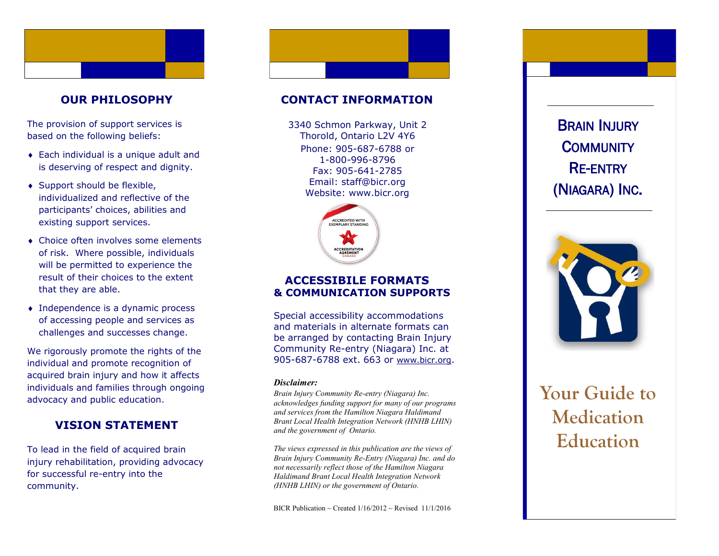# **OUR PHILOSOPHY**

The provision of support services is based on the following beliefs:

- Each individual is a unique adult and is deserving of respect and dignity.
- ◆ Support should be flexible, individualized and reflective of the participants' choices, abilities and existing support services.
- Choice often involves some elements of risk. Where possible, individuals will be permitted to experience the result of their choices to the extent that they are able.
- Independence is a dynamic process of accessing people and services as challenges and successes change.

We rigorously promote the rights of the individual and promote recognition of acquired brain injury and how it affects individuals and families through ongoing advocacy and public education.

# **VISION STATEMENT**

To lead in the field of acquired brain injury rehabilitation, providing advocacy for successful re -entry into the community.

# **CONTACT INFORMATION**

Phone: 905 -687 -6788 or 1 -800 -996 -8796 Fax: 905 -641 -2785 Email: staff@bicr.org Website: www.bicr.org 3340 Schmon Parkway, Unit 2 Thorold, Ontario L2V 4Y6



## **ACCESSIBILE FORMATS & COMMUNICATION SUPPORTS**

Special accessibility accommodations and materials in alternate formats can be arranged by contacting Brain Injury Community Re -entry (Niagara) Inc. at 905-687-6788 ext. 663 or [www.bicr.org](http://www.bicr.org).

#### *Disclaimer:*

*Brain Injury Community Re -entry (Niagara) Inc. acknowledges funding support for many of our programs and services from the Hamilton Niagara Haldimand Brant Local Health Integration Network (HNHB LHIN) and the government of Ontario.* 

*The views expressed in this publication are the views of Brain Injury Community Re -Entry (Niagara) Inc. and do not necessarily reflect those of the Hamilton Niagara Haldimand Brant Local Health Integration Network (HNHB LHIN) or the government of Ontario.* 

BICR Publication ~ Created  $1/16/2012$  ~ Revised 11/1/2016

(NIAGARA) INC .



# **Your Guide to Medication**